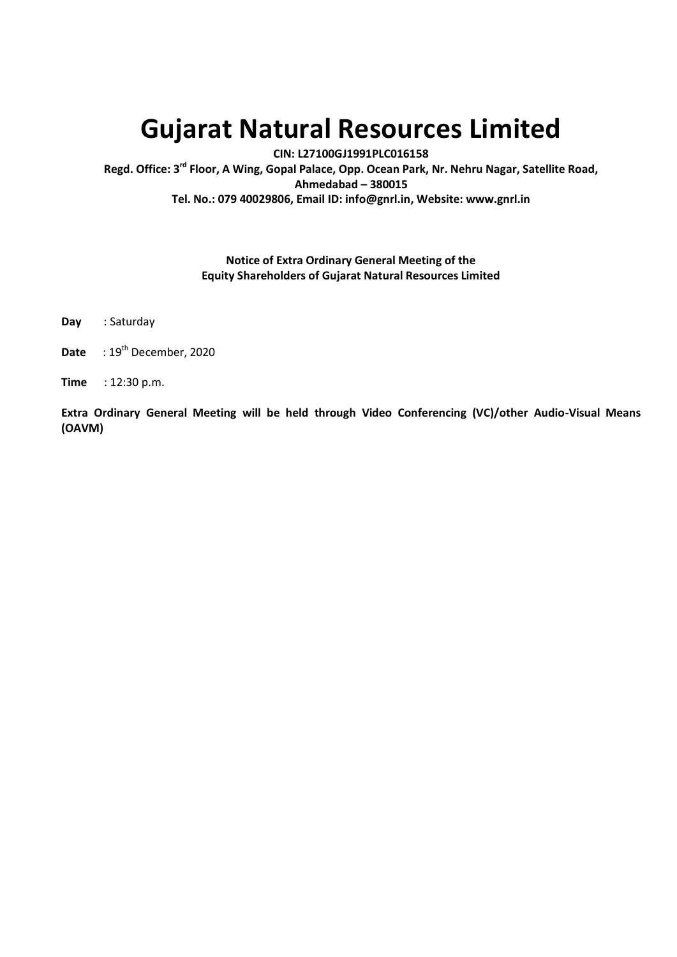# **Gujarat Natural Resources Limited**

**CIN: L27100GJ1991PLC016158**

**Regd. Office: 3 rd Floor, A Wing, Gopal Palace, Opp. Ocean Park, Nr. Nehru Nagar, Satellite Road, Ahmedabad – 380015 Tel. No.: 079 40029806, Email ID: info@gnrl.in, Website: www.gnrl.in** 

# **Notice of Extra Ordinary General Meeting of the Equity Shareholders of Gujarat Natural Resources Limited**

- **Day** : Saturday
- **Date** : 19<sup>th</sup> December, 2020
- **Time** : 12:30 p.m.

**Extra Ordinary General Meeting will be held through Video Conferencing (VC)/other Audio-Visual Means (OAVM)**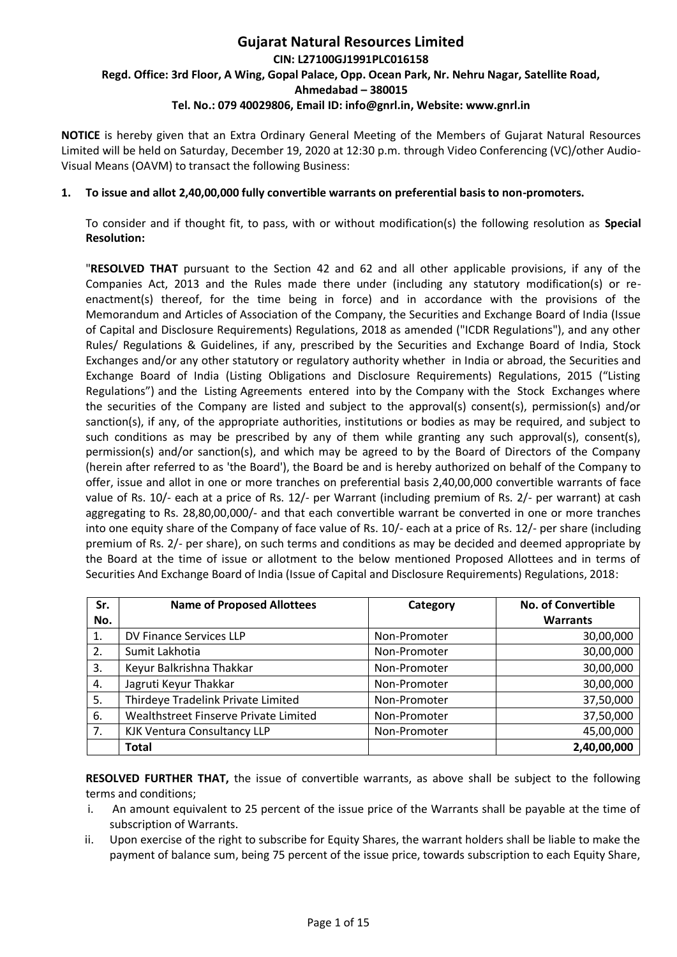# **Gujarat Natural Resources Limited CIN: L27100GJ1991PLC016158 Regd. Office: 3rd Floor, A Wing, Gopal Palace, Opp. Ocean Park, Nr. Nehru Nagar, Satellite Road, Ahmedabad – 380015 Tel. No.: 079 40029806, Email ID: info@gnrl.in, Website: www.gnrl.in**

**NOTICE** is hereby given that an Extra Ordinary General Meeting of the Members of Gujarat Natural Resources Limited will be held on Saturday, December 19, 2020 at 12:30 p.m. through Video Conferencing (VC)/other Audio-Visual Means (OAVM) to transact the following Business:

#### **1. To issue and allot 2,40,00,000 fully convertible warrants on preferential basis to non-promoters.**

To consider and if thought fit, to pass, with or without modification(s) the following resolution as **Special Resolution:** 

"**RESOLVED THAT** pursuant to the Section 42 and 62 and all other applicable provisions, if any of the Companies Act, 2013 and the Rules made there under (including any statutory modification(s) or reenactment(s) thereof, for the time being in force) and in accordance with the provisions of the Memorandum and Articles of Association of the Company, the Securities and Exchange Board of India (Issue of Capital and Disclosure Requirements) Regulations, 2018 as amended ("ICDR Regulations"), and any other Rules/ Regulations & Guidelines, if any, prescribed by the Securities and Exchange Board of India, Stock Exchanges and/or any other statutory or regulatory authority whether in India or abroad, the Securities and Exchange Board of India (Listing Obligations and Disclosure Requirements) Regulations, 2015 ("Listing Regulations") and the Listing Agreements entered into by the Company with the Stock Exchanges where the securities of the Company are listed and subject to the approval(s) consent(s), permission(s) and/or sanction(s), if any, of the appropriate authorities, institutions or bodies as may be required, and subject to such conditions as may be prescribed by any of them while granting any such approval(s), consent(s), permission(s) and/or sanction(s), and which may be agreed to by the Board of Directors of the Company (herein after referred to as 'the Board'), the Board be and is hereby authorized on behalf of the Company to offer, issue and allot in one or more tranches on preferential basis 2,40,00,000 convertible warrants of face value of Rs. 10/- each at a price of Rs. 12/- per Warrant (including premium of Rs. 2/- per warrant) at cash aggregating to Rs. 28,80,00,000/- and that each convertible warrant be converted in one or more tranches into one equity share of the Company of face value of Rs. 10/- each at a price of Rs. 12/- per share (including premium of Rs. 2/- per share), on such terms and conditions as may be decided and deemed appropriate by the Board at the time of issue or allotment to the below mentioned Proposed Allottees and in terms of Securities And Exchange Board of India (Issue of Capital and Disclosure Requirements) Regulations, 2018:

| Sr. | <b>Name of Proposed Allottees</b>     | Category     | <b>No. of Convertible</b> |
|-----|---------------------------------------|--------------|---------------------------|
| No. |                                       |              | <b>Warrants</b>           |
| 1.  | DV Finance Services LLP               | Non-Promoter | 30,00,000                 |
| 2.  | Sumit Lakhotia                        | Non-Promoter | 30,00,000                 |
| 3.  | Keyur Balkrishna Thakkar              | Non-Promoter | 30,00,000                 |
| 4.  | Jagruti Keyur Thakkar                 | Non-Promoter | 30,00,000                 |
| 5.  | Thirdeye Tradelink Private Limited    | Non-Promoter | 37,50,000                 |
| 6.  | Wealthstreet Finserve Private Limited | Non-Promoter | 37,50,000                 |
| 7.  | <b>KJK Ventura Consultancy LLP</b>    | Non-Promoter | 45,00,000                 |
|     | <b>Total</b>                          |              | 2,40,00,000               |

**RESOLVED FURTHER THAT,** the issue of convertible warrants, as above shall be subject to the following terms and conditions;

- i. An amount equivalent to 25 percent of the issue price of the Warrants shall be payable at the time of subscription of Warrants.
- ii. Upon exercise of the right to subscribe for Equity Shares, the warrant holders shall be liable to make the payment of balance sum, being 75 percent of the issue price, towards subscription to each Equity Share,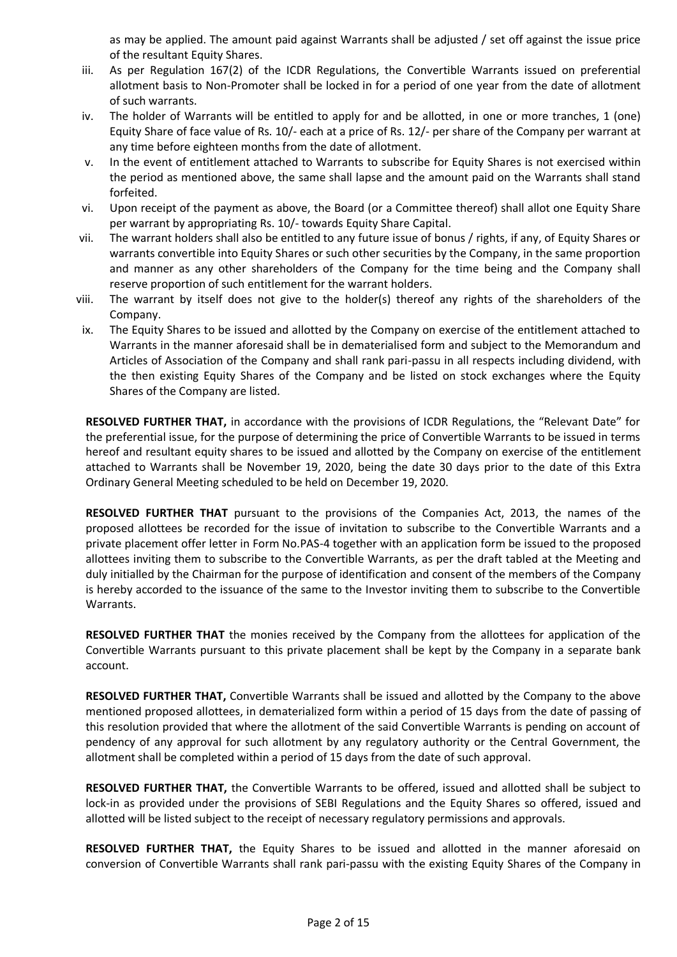as may be applied. The amount paid against Warrants shall be adjusted / set off against the issue price of the resultant Equity Shares.

- iii. As per Regulation 167(2) of the ICDR Regulations, the Convertible Warrants issued on preferential allotment basis to Non-Promoter shall be locked in for a period of one year from the date of allotment of such warrants.
- iv. The holder of Warrants will be entitled to apply for and be allotted, in one or more tranches, 1 (one) Equity Share of face value of Rs. 10/- each at a price of Rs. 12/- per share of the Company per warrant at any time before eighteen months from the date of allotment.
- v. In the event of entitlement attached to Warrants to subscribe for Equity Shares is not exercised within the period as mentioned above, the same shall lapse and the amount paid on the Warrants shall stand forfeited.
- vi. Upon receipt of the payment as above, the Board (or a Committee thereof) shall allot one Equity Share per warrant by appropriating Rs. 10/- towards Equity Share Capital.
- vii. The warrant holders shall also be entitled to any future issue of bonus / rights, if any, of Equity Shares or warrants convertible into Equity Shares or such other securities by the Company, in the same proportion and manner as any other shareholders of the Company for the time being and the Company shall reserve proportion of such entitlement for the warrant holders.
- viii. The warrant by itself does not give to the holder(s) thereof any rights of the shareholders of the Company.
- ix. The Equity Shares to be issued and allotted by the Company on exercise of the entitlement attached to Warrants in the manner aforesaid shall be in dematerialised form and subject to the Memorandum and Articles of Association of the Company and shall rank pari-passu in all respects including dividend, with the then existing Equity Shares of the Company and be listed on stock exchanges where the Equity Shares of the Company are listed.

**RESOLVED FURTHER THAT,** in accordance with the provisions of ICDR Regulations, the "Relevant Date" for the preferential issue, for the purpose of determining the price of Convertible Warrants to be issued in terms hereof and resultant equity shares to be issued and allotted by the Company on exercise of the entitlement attached to Warrants shall be November 19, 2020, being the date 30 days prior to the date of this Extra Ordinary General Meeting scheduled to be held on December 19, 2020.

**RESOLVED FURTHER THAT** pursuant to the provisions of the Companies Act, 2013, the names of the proposed allottees be recorded for the issue of invitation to subscribe to the Convertible Warrants and a private placement offer letter in Form No.PAS-4 together with an application form be issued to the proposed allottees inviting them to subscribe to the Convertible Warrants, as per the draft tabled at the Meeting and duly initialled by the Chairman for the purpose of identification and consent of the members of the Company is hereby accorded to the issuance of the same to the Investor inviting them to subscribe to the Convertible Warrants.

**RESOLVED FURTHER THAT** the monies received by the Company from the allottees for application of the Convertible Warrants pursuant to this private placement shall be kept by the Company in a separate bank account.

**RESOLVED FURTHER THAT,** Convertible Warrants shall be issued and allotted by the Company to the above mentioned proposed allottees, in dematerialized form within a period of 15 days from the date of passing of this resolution provided that where the allotment of the said Convertible Warrants is pending on account of pendency of any approval for such allotment by any regulatory authority or the Central Government, the allotment shall be completed within a period of 15 days from the date of such approval.

**RESOLVED FURTHER THAT,** the Convertible Warrants to be offered, issued and allotted shall be subject to lock-in as provided under the provisions of SEBI Regulations and the Equity Shares so offered, issued and allotted will be listed subject to the receipt of necessary regulatory permissions and approvals.

**RESOLVED FURTHER THAT,** the Equity Shares to be issued and allotted in the manner aforesaid on conversion of Convertible Warrants shall rank pari-passu with the existing Equity Shares of the Company in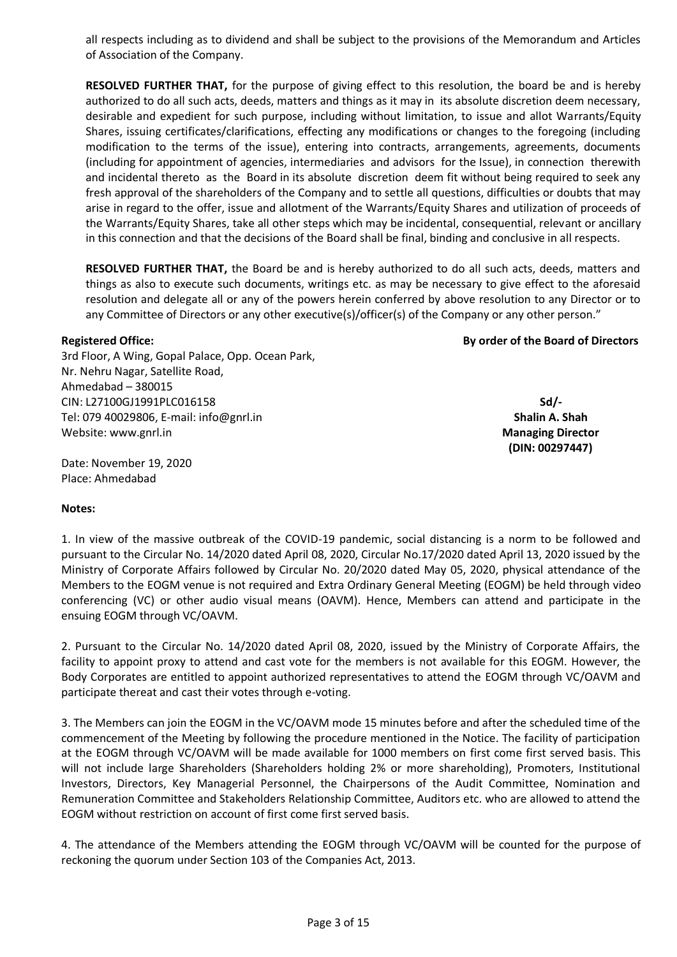all respects including as to dividend and shall be subject to the provisions of the Memorandum and Articles of Association of the Company.

**RESOLVED FURTHER THAT,** for the purpose of giving effect to this resolution, the board be and is hereby authorized to do all such acts, deeds, matters and things as it may in its absolute discretion deem necessary, desirable and expedient for such purpose, including without limitation, to issue and allot Warrants/Equity Shares, issuing certificates/clarifications, effecting any modifications or changes to the foregoing (including modification to the terms of the issue), entering into contracts, arrangements, agreements, documents (including for appointment of agencies, intermediaries and advisors for the Issue), in connection therewith and incidental thereto as the Board in its absolute discretion deem fit without being required to seek any fresh approval of the shareholders of the Company and to settle all questions, difficulties or doubts that may arise in regard to the offer, issue and allotment of the Warrants/Equity Shares and utilization of proceeds of the Warrants/Equity Shares, take all other steps which may be incidental, consequential, relevant or ancillary in this connection and that the decisions of the Board shall be final, binding and conclusive in all respects.

**RESOLVED FURTHER THAT,** the Board be and is hereby authorized to do all such acts, deeds, matters and things as also to execute such documents, writings etc. as may be necessary to give effect to the aforesaid resolution and delegate all or any of the powers herein conferred by above resolution to any Director or to any Committee of Directors or any other executive(s)/officer(s) of the Company or any other person."

#### **Registered Office:**

3rd Floor, A Wing, Gopal Palace, Opp. Ocean Park, Nr. Nehru Nagar, Satellite Road, Ahmedabad – 380015 CIN: L27100GJ1991PLC016158 Tel: 079 40029806, E-mail: info@gnrl.in Website: www.gnrl.in

**Sd/- Shalin A. Shah Managing Director (DIN: 00297447)**

**By order of the Board of Directors**

Date: November 19, 2020 Place: Ahmedabad

#### **Notes:**

1. In view of the massive outbreak of the COVID-19 pandemic, social distancing is a norm to be followed and pursuant to the Circular No. 14/2020 dated April 08, 2020, Circular No.17/2020 dated April 13, 2020 issued by the Ministry of Corporate Affairs followed by Circular No. 20/2020 dated May 05, 2020, physical attendance of the Members to the EOGM venue is not required and Extra Ordinary General Meeting (EOGM) be held through video conferencing (VC) or other audio visual means (OAVM). Hence, Members can attend and participate in the ensuing EOGM through VC/OAVM.

2. Pursuant to the Circular No. 14/2020 dated April 08, 2020, issued by the Ministry of Corporate Affairs, the facility to appoint proxy to attend and cast vote for the members is not available for this EOGM. However, the Body Corporates are entitled to appoint authorized representatives to attend the EOGM through VC/OAVM and participate thereat and cast their votes through e-voting.

3. The Members can join the EOGM in the VC/OAVM mode 15 minutes before and after the scheduled time of the commencement of the Meeting by following the procedure mentioned in the Notice. The facility of participation at the EOGM through VC/OAVM will be made available for 1000 members on first come first served basis. This will not include large Shareholders (Shareholders holding 2% or more shareholding), Promoters, Institutional Investors, Directors, Key Managerial Personnel, the Chairpersons of the Audit Committee, Nomination and Remuneration Committee and Stakeholders Relationship Committee, Auditors etc. who are allowed to attend the EOGM without restriction on account of first come first served basis.

4. The attendance of the Members attending the EOGM through VC/OAVM will be counted for the purpose of reckoning the quorum under Section 103 of the Companies Act, 2013.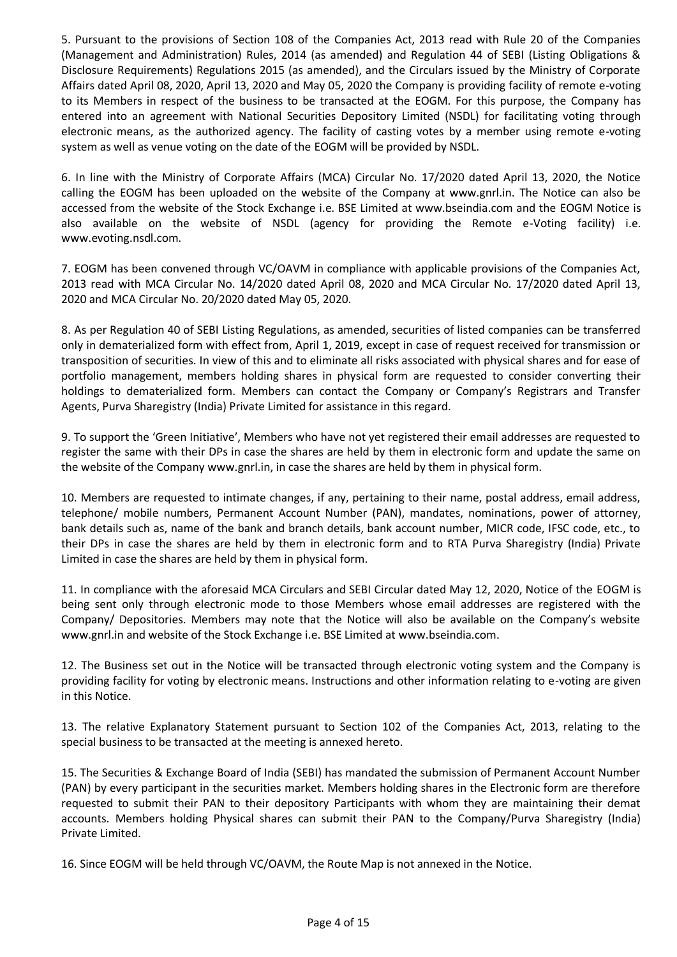5. Pursuant to the provisions of Section 108 of the Companies Act, 2013 read with Rule 20 of the Companies (Management and Administration) Rules, 2014 (as amended) and Regulation 44 of SEBI (Listing Obligations & Disclosure Requirements) Regulations 2015 (as amended), and the Circulars issued by the Ministry of Corporate Affairs dated April 08, 2020, April 13, 2020 and May 05, 2020 the Company is providing facility of remote e-voting to its Members in respect of the business to be transacted at the EOGM. For this purpose, the Company has entered into an agreement with National Securities Depository Limited (NSDL) for facilitating voting through electronic means, as the authorized agency. The facility of casting votes by a member using remote e-voting system as well as venue voting on the date of the EOGM will be provided by NSDL.

6. In line with the Ministry of Corporate Affairs (MCA) Circular No. 17/2020 dated April 13, 2020, the Notice calling the EOGM has been uploaded on the website of the Company at www.gnrl.in. The Notice can also be accessed from the website of the Stock Exchange i.e. BSE Limited at www.bseindia.com and the EOGM Notice is also available on the website of NSDL (agency for providing the Remote e-Voting facility) i.e. www.evoting.nsdl.com.

7. EOGM has been convened through VC/OAVM in compliance with applicable provisions of the Companies Act, 2013 read with MCA Circular No. 14/2020 dated April 08, 2020 and MCA Circular No. 17/2020 dated April 13, 2020 and MCA Circular No. 20/2020 dated May 05, 2020.

8. As per Regulation 40 of SEBI Listing Regulations, as amended, securities of listed companies can be transferred only in dematerialized form with effect from, April 1, 2019, except in case of request received for transmission or transposition of securities. In view of this and to eliminate all risks associated with physical shares and for ease of portfolio management, members holding shares in physical form are requested to consider converting their holdings to dematerialized form. Members can contact the Company or Company's Registrars and Transfer Agents, Purva Sharegistry (India) Private Limited for assistance in this regard.

9. To support the 'Green Initiative', Members who have not yet registered their email addresses are requested to register the same with their DPs in case the shares are held by them in electronic form and update the same on the website of the Company www.gnrl.in, in case the shares are held by them in physical form.

10. Members are requested to intimate changes, if any, pertaining to their name, postal address, email address, telephone/ mobile numbers, Permanent Account Number (PAN), mandates, nominations, power of attorney, bank details such as, name of the bank and branch details, bank account number, MICR code, IFSC code, etc., to their DPs in case the shares are held by them in electronic form and to RTA Purva Sharegistry (India) Private Limited in case the shares are held by them in physical form.

11. In compliance with the aforesaid MCA Circulars and SEBI Circular dated May 12, 2020, Notice of the EOGM is being sent only through electronic mode to those Members whose email addresses are registered with the Company/ Depositories. Members may note that the Notice will also be available on the Company's website www.gnrl.in and website of the Stock Exchange i.e. BSE Limited at www.bseindia.com.

12. The Business set out in the Notice will be transacted through electronic voting system and the Company is providing facility for voting by electronic means. Instructions and other information relating to e-voting are given in this Notice.

13. The relative Explanatory Statement pursuant to Section 102 of the Companies Act, 2013, relating to the special business to be transacted at the meeting is annexed hereto.

15. The Securities & Exchange Board of India (SEBI) has mandated the submission of Permanent Account Number (PAN) by every participant in the securities market. Members holding shares in the Electronic form are therefore requested to submit their PAN to their depository Participants with whom they are maintaining their demat accounts. Members holding Physical shares can submit their PAN to the Company/Purva Sharegistry (India) Private Limited.

16. Since EOGM will be held through VC/OAVM, the Route Map is not annexed in the Notice.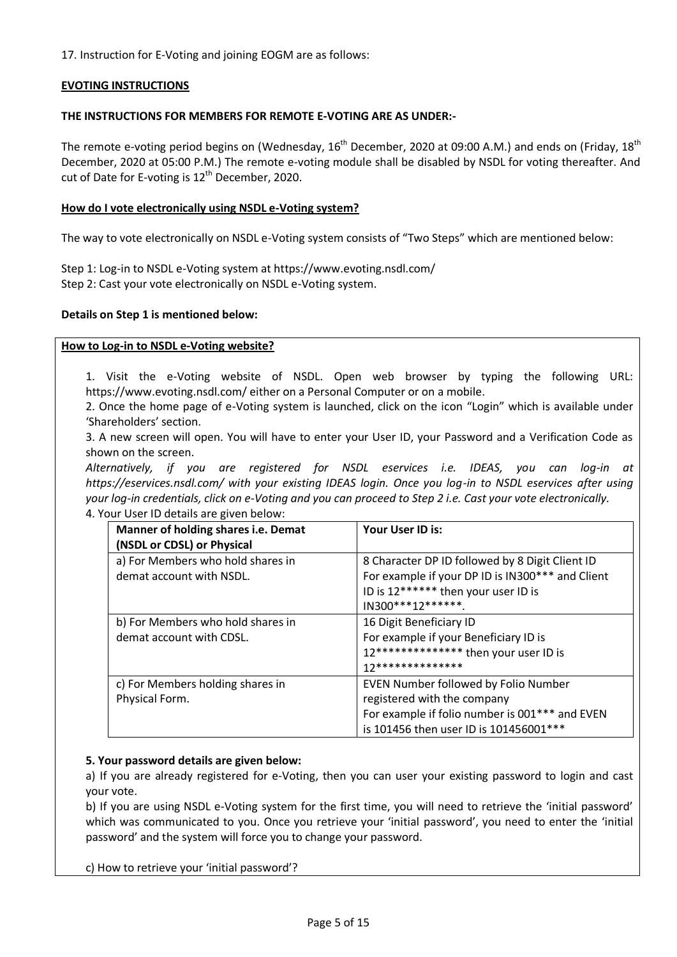17. Instruction for E-Voting and joining EOGM are as follows:

# **EVOTING INSTRUCTIONS**

#### **THE INSTRUCTIONS FOR MEMBERS FOR REMOTE E-VOTING ARE AS UNDER:-**

The remote e-voting period begins on (Wednesday,  $16^{th}$  December, 2020 at 09:00 A.M.) and ends on (Friday,  $18^{th}$ December, 2020 at 05:00 P.M.) The remote e-voting module shall be disabled by NSDL for voting thereafter. And cut of Date for E-voting is  $12^{th}$  December, 2020.

#### **How do I vote electronically using NSDL e-Voting system?**

The way to vote electronically on NSDL e-Voting system consists of "Two Steps" which are mentioned below:

Step 1: Log-in to NSDL e-Voting system at https://www.evoting.nsdl.com/ Step 2: Cast your vote electronically on NSDL e-Voting system.

#### **Details on Step 1 is mentioned below:**

#### **How to Log-in to NSDL e-Voting website?**

1. Visit the e-Voting website of NSDL. Open web browser by typing the following URL: https://www.evoting.nsdl.com/ either on a Personal Computer or on a mobile.

2. Once the home page of e-Voting system is launched, click on the icon "Login" which is available under 'Shareholders' section.

3. A new screen will open. You will have to enter your User ID, your Password and a Verification Code as shown on the screen.

*Alternatively, if you are registered for NSDL eservices i.e. IDEAS, you can log-in at https://eservices.nsdl.com/ with your existing IDEAS login. Once you log-in to NSDL eservices after using your log-in credentials, click on e-Voting and you can proceed to Step 2 i.e. Cast your vote electronically.*  4. Your User ID details are given below:

| Manner of holding shares i.e. Demat<br>(NSDL or CDSL) or Physical | Your User ID is:                                                                                                                                                 |
|-------------------------------------------------------------------|------------------------------------------------------------------------------------------------------------------------------------------------------------------|
| a) For Members who hold shares in<br>demat account with NSDL.     | 8 Character DP ID followed by 8 Digit Client ID<br>For example if your DP ID is IN300*** and Client<br>ID is 12****** then your user ID is<br>$IN300***12******$ |
| b) For Members who hold shares in<br>demat account with CDSL.     | 16 Digit Beneficiary ID<br>For example if your Beneficiary ID is<br>12************** then your user ID is<br>17**************                                    |
| c) For Members holding shares in<br>Physical Form.                | EVEN Number followed by Folio Number<br>registered with the company<br>For example if folio number is 001*** and EVEN<br>is 101456 then user ID is 101456001 *** |

#### **5. Your password details are given below:**

a) If you are already registered for e-Voting, then you can user your existing password to login and cast your vote.

b) If you are using NSDL e-Voting system for the first time, you will need to retrieve the 'initial password' which was communicated to you. Once you retrieve your 'initial password', you need to enter the 'initial password' and the system will force you to change your password.

c) How to retrieve your 'initial password'?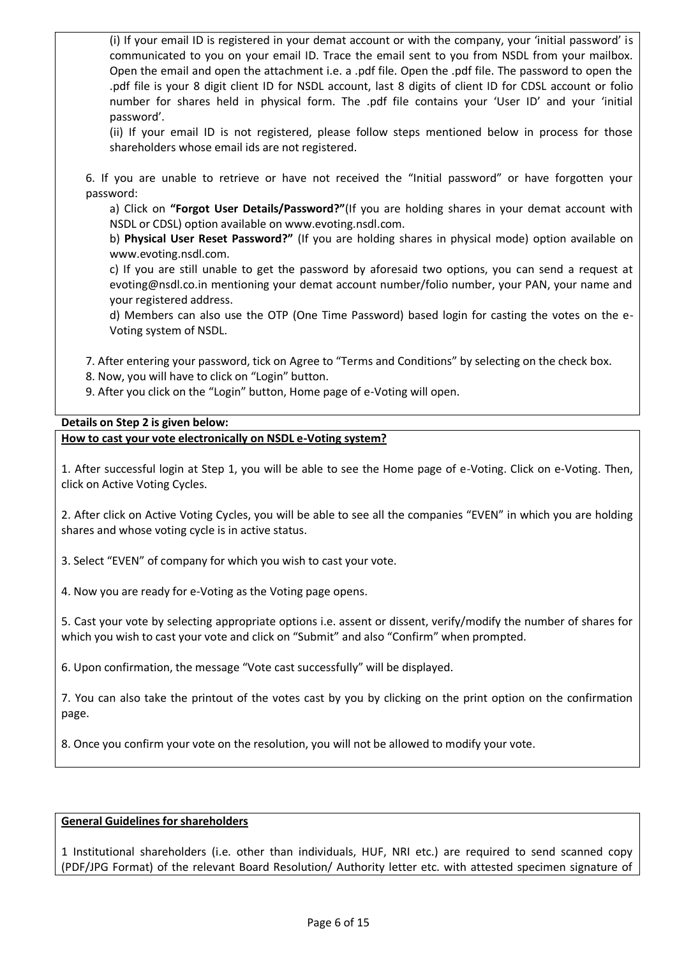(i) If your email ID is registered in your demat account or with the company, your 'initial password' is communicated to you on your email ID. Trace the email sent to you from NSDL from your mailbox. Open the email and open the attachment i.e. a .pdf file. Open the .pdf file. The password to open the .pdf file is your 8 digit client ID for NSDL account, last 8 digits of client ID for CDSL account or folio number for shares held in physical form. The .pdf file contains your 'User ID' and your 'initial password'.

(ii) If your email ID is not registered, please follow steps mentioned below in process for those shareholders whose email ids are not registered.

6. If you are unable to retrieve or have not received the "Initial password" or have forgotten your password:

a) Click on **"Forgot User Details/Password?"**(If you are holding shares in your demat account with NSDL or CDSL) option available on www.evoting.nsdl.com.

b) **Physical User Reset Password?"** (If you are holding shares in physical mode) option available on www.evoting.nsdl.com.

c) If you are still unable to get the password by aforesaid two options, you can send a request at evoting@nsdl.co.in mentioning your demat account number/folio number, your PAN, your name and your registered address.

d) Members can also use the OTP (One Time Password) based login for casting the votes on the e-Voting system of NSDL.

7. After entering your password, tick on Agree to "Terms and Conditions" by selecting on the check box.

8. Now, you will have to click on "Login" button.

9. After you click on the "Login" button, Home page of e-Voting will open.

# **Details on Step 2 is given below:**

**How to cast your vote electronically on NSDL e-Voting system?**

1. After successful login at Step 1, you will be able to see the Home page of e-Voting. Click on e-Voting. Then, click on Active Voting Cycles.

2. After click on Active Voting Cycles, you will be able to see all the companies "EVEN" in which you are holding shares and whose voting cycle is in active status.

3. Select "EVEN" of company for which you wish to cast your vote.

4. Now you are ready for e-Voting as the Voting page opens.

5. Cast your vote by selecting appropriate options i.e. assent or dissent, verify/modify the number of shares for which you wish to cast your vote and click on "Submit" and also "Confirm" when prompted.

6. Upon confirmation, the message "Vote cast successfully" will be displayed.

7. You can also take the printout of the votes cast by you by clicking on the print option on the confirmation page.

8. Once you confirm your vote on the resolution, you will not be allowed to modify your vote.

# **General Guidelines for shareholders**

1 Institutional shareholders (i.e. other than individuals, HUF, NRI etc.) are required to send scanned copy (PDF/JPG Format) of the relevant Board Resolution/ Authority letter etc. with attested specimen signature of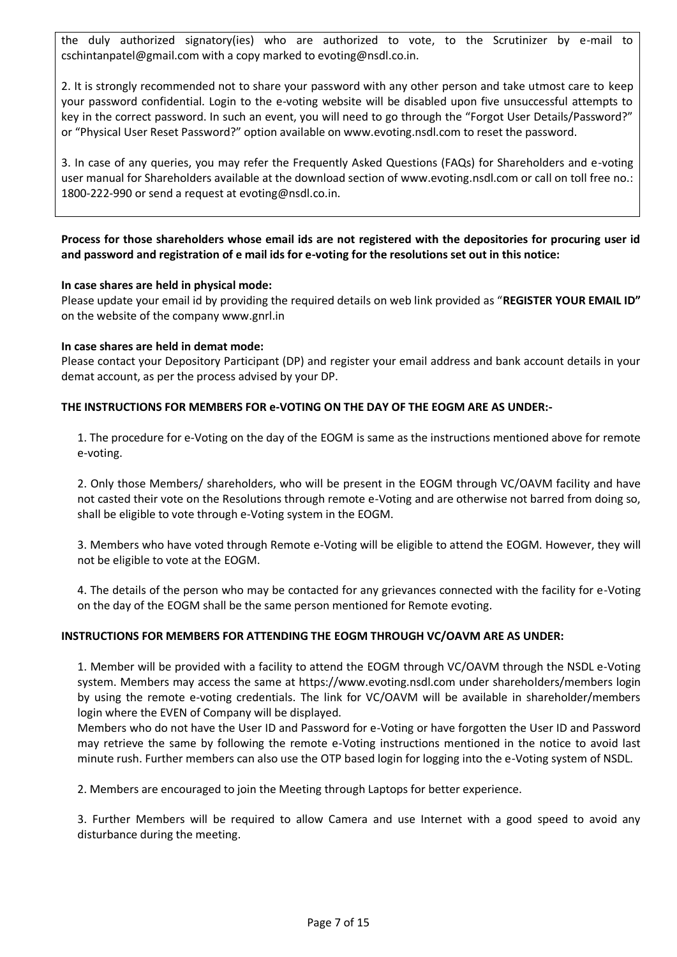the duly authorized signatory(ies) who are authorized to vote, to the Scrutinizer by e-mail to cschintanpatel@gmail.com with a copy marked to evoting@nsdl.co.in.

2. It is strongly recommended not to share your password with any other person and take utmost care to keep your password confidential. Login to the e-voting website will be disabled upon five unsuccessful attempts to key in the correct password. In such an event, you will need to go through the "Forgot User Details/Password?" or "Physical User Reset Password?" option available on www.evoting.nsdl.com to reset the password.

3. In case of any queries, you may refer the Frequently Asked Questions (FAQs) for Shareholders and e-voting user manual for Shareholders available at the download section of www.evoting.nsdl.com or call on toll free no.: 1800-222-990 or send a request at evoting@nsdl.co.in.

# **Process for those shareholders whose email ids are not registered with the depositories for procuring user id and password and registration of e mail ids for e-voting for the resolutions set out in this notice:**

#### **In case shares are held in physical mode:**

Please update your email id by providing the required details on web link provided as "**REGISTER YOUR EMAIL ID"**  on the website of the company www.gnrl.in

# **In case shares are held in demat mode:**

Please contact your Depository Participant (DP) and register your email address and bank account details in your demat account, as per the process advised by your DP.

#### **THE INSTRUCTIONS FOR MEMBERS FOR e-VOTING ON THE DAY OF THE EOGM ARE AS UNDER:-**

1. The procedure for e-Voting on the day of the EOGM is same as the instructions mentioned above for remote e-voting.

2. Only those Members/ shareholders, who will be present in the EOGM through VC/OAVM facility and have not casted their vote on the Resolutions through remote e-Voting and are otherwise not barred from doing so, shall be eligible to vote through e-Voting system in the EOGM.

3. Members who have voted through Remote e-Voting will be eligible to attend the EOGM. However, they will not be eligible to vote at the EOGM.

4. The details of the person who may be contacted for any grievances connected with the facility for e-Voting on the day of the EOGM shall be the same person mentioned for Remote evoting.

#### **INSTRUCTIONS FOR MEMBERS FOR ATTENDING THE EOGM THROUGH VC/OAVM ARE AS UNDER:**

1. Member will be provided with a facility to attend the EOGM through VC/OAVM through the NSDL e-Voting system. Members may access the same at https://www.evoting.nsdl.com under shareholders/members login by using the remote e-voting credentials. The link for VC/OAVM will be available in shareholder/members login where the EVEN of Company will be displayed.

Members who do not have the User ID and Password for e-Voting or have forgotten the User ID and Password may retrieve the same by following the remote e-Voting instructions mentioned in the notice to avoid last minute rush. Further members can also use the OTP based login for logging into the e-Voting system of NSDL.

2. Members are encouraged to join the Meeting through Laptops for better experience.

3. Further Members will be required to allow Camera and use Internet with a good speed to avoid any disturbance during the meeting.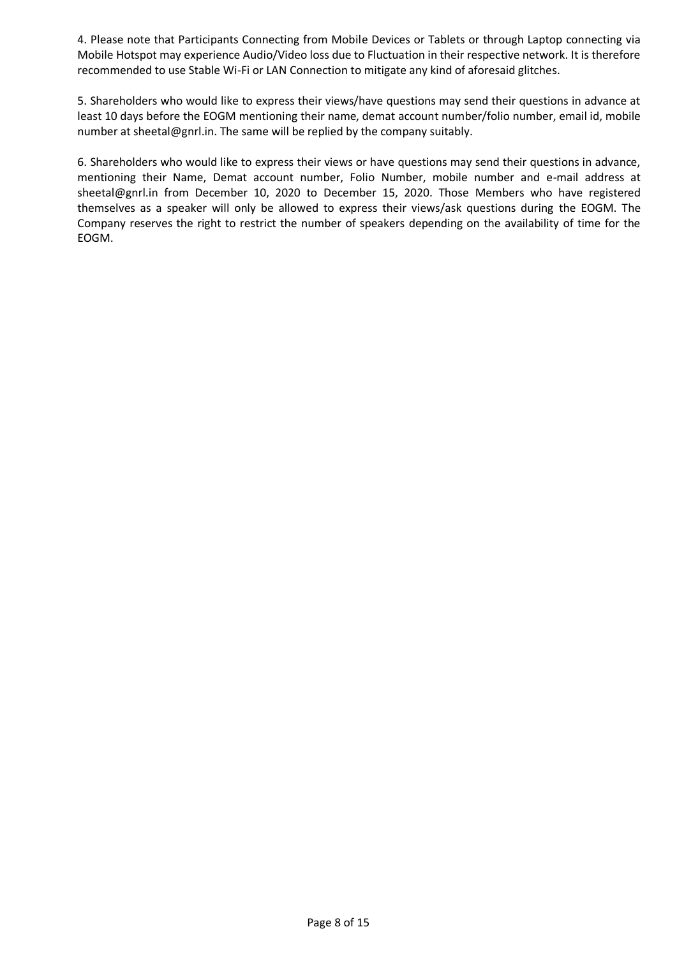4. Please note that Participants Connecting from Mobile Devices or Tablets or through Laptop connecting via Mobile Hotspot may experience Audio/Video loss due to Fluctuation in their respective network. It is therefore recommended to use Stable Wi-Fi or LAN Connection to mitigate any kind of aforesaid glitches.

5. Shareholders who would like to express their views/have questions may send their questions in advance at least 10 days before the EOGM mentioning their name, demat account number/folio number, email id, mobile number at sheetal@gnrl.in. The same will be replied by the company suitably.

6. Shareholders who would like to express their views or have questions may send their questions in advance, mentioning their Name, Demat account number, Folio Number, mobile number and e-mail address at sheetal@gnrl.in from December 10, 2020 to December 15, 2020. Those Members who have registered themselves as a speaker will only be allowed to express their views/ask questions during the EOGM. The Company reserves the right to restrict the number of speakers depending on the availability of time for the EOGM.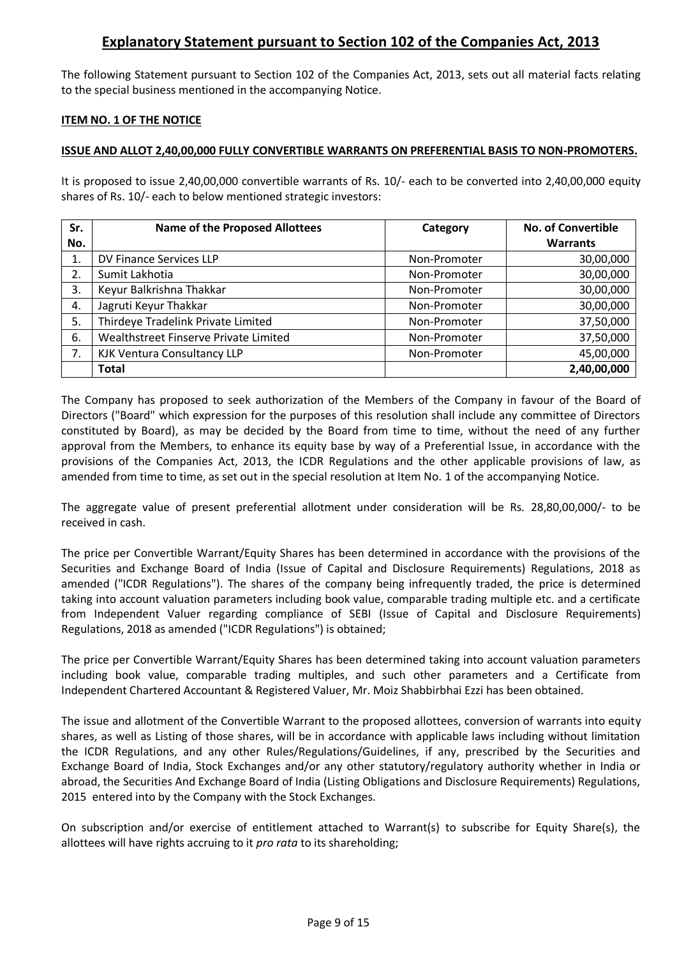# **Explanatory Statement pursuant to Section 102 of the Companies Act, 2013**

The following Statement pursuant to Section 102 of the Companies Act, 2013, sets out all material facts relating to the special business mentioned in the accompanying Notice.

# **ITEM NO. 1 OF THE NOTICE**

# **ISSUE AND ALLOT 2,40,00,000 FULLY CONVERTIBLE WARRANTS ON PREFERENTIAL BASIS TO NON-PROMOTERS.**

It is proposed to issue 2,40,00,000 convertible warrants of Rs. 10/- each to be converted into 2,40,00,000 equity shares of Rs. 10/- each to below mentioned strategic investors:

| Sr. | <b>Name of the Proposed Allottees</b> | Category     | <b>No. of Convertible</b> |
|-----|---------------------------------------|--------------|---------------------------|
| No. |                                       |              | <b>Warrants</b>           |
| 1.  | DV Finance Services LLP               | Non-Promoter | 30,00,000                 |
| 2.  | Sumit Lakhotia                        | Non-Promoter | 30,00,000                 |
| 3.  | Keyur Balkrishna Thakkar              | Non-Promoter | 30,00,000                 |
| 4.  | Jagruti Keyur Thakkar                 | Non-Promoter | 30,00,000                 |
| 5.  | Thirdeye Tradelink Private Limited    | Non-Promoter | 37,50,000                 |
| 6.  | Wealthstreet Finserve Private Limited | Non-Promoter | 37,50,000                 |
| 7.  | KJK Ventura Consultancy LLP           | Non-Promoter | 45,00,000                 |
|     | <b>Total</b>                          |              | 2,40,00,000               |

The Company has proposed to seek authorization of the Members of the Company in favour of the Board of Directors ("Board" which expression for the purposes of this resolution shall include any committee of Directors constituted by Board), as may be decided by the Board from time to time, without the need of any further approval from the Members, to enhance its equity base by way of a Preferential Issue, in accordance with the provisions of the Companies Act, 2013, the ICDR Regulations and the other applicable provisions of law, as amended from time to time, as set out in the special resolution at Item No. 1 of the accompanying Notice.

The aggregate value of present preferential allotment under consideration will be Rs. 28,80,00,000/- to be received in cash.

The price per Convertible Warrant/Equity Shares has been determined in accordance with the provisions of the Securities and Exchange Board of India (Issue of Capital and Disclosure Requirements) Regulations, 2018 as amended ("ICDR Regulations"). The shares of the company being infrequently traded, the price is determined taking into account valuation parameters including book value, comparable trading multiple etc. and a certificate from Independent Valuer regarding compliance of SEBI (Issue of Capital and Disclosure Requirements) Regulations, 2018 as amended ("ICDR Regulations") is obtained;

The price per Convertible Warrant/Equity Shares has been determined taking into account valuation parameters including book value, comparable trading multiples, and such other parameters and a Certificate from Independent Chartered Accountant & Registered Valuer, Mr. Moiz Shabbirbhai Ezzi has been obtained.

The issue and allotment of the Convertible Warrant to the proposed allottees, conversion of warrants into equity shares, as well as Listing of those shares, will be in accordance with applicable laws including without limitation the ICDR Regulations, and any other Rules/Regulations/Guidelines, if any, prescribed by the Securities and Exchange Board of India, Stock Exchanges and/or any other statutory/regulatory authority whether in India or abroad, the Securities And Exchange Board of India (Listing Obligations and Disclosure Requirements) Regulations, 2015 entered into by the Company with the Stock Exchanges.

On subscription and/or exercise of entitlement attached to Warrant(s) to subscribe for Equity Share(s), the allottees will have rights accruing to it *pro rata* to its shareholding;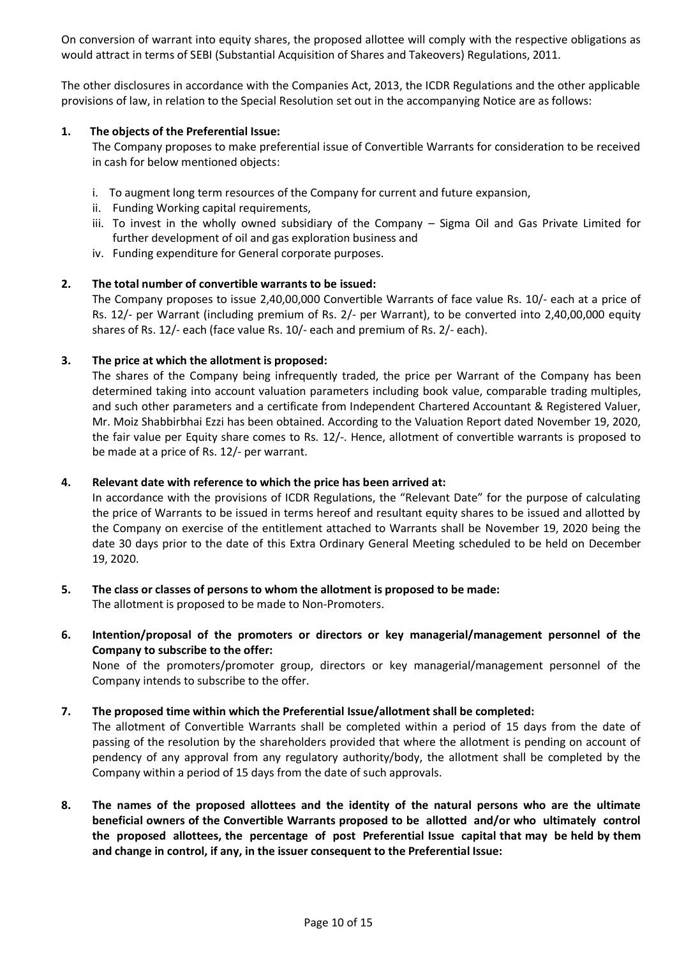On conversion of warrant into equity shares, the proposed allottee will comply with the respective obligations as would attract in terms of SEBI (Substantial Acquisition of Shares and Takeovers) Regulations, 2011.

The other disclosures in accordance with the Companies Act, 2013, the ICDR Regulations and the other applicable provisions of law, in relation to the Special Resolution set out in the accompanying Notice are as follows:

# **1. The objects of the Preferential Issue:**

The Company proposes to make preferential issue of Convertible Warrants for consideration to be received in cash for below mentioned objects:

- i. To augment long term resources of the Company for current and future expansion,
- ii. Funding Working capital requirements,
- iii. To invest in the wholly owned subsidiary of the Company Sigma Oil and Gas Private Limited for further development of oil and gas exploration business and
- iv. Funding expenditure for General corporate purposes.

#### **2. The total number of convertible warrants to be issued:**

The Company proposes to issue 2,40,00,000 Convertible Warrants of face value Rs. 10/- each at a price of Rs. 12/- per Warrant (including premium of Rs. 2/- per Warrant), to be converted into 2,40,00,000 equity shares of Rs. 12/- each (face value Rs. 10/- each and premium of Rs. 2/- each).

#### **3. The price at which the allotment is proposed:**

The shares of the Company being infrequently traded, the price per Warrant of the Company has been determined taking into account valuation parameters including book value, comparable trading multiples, and such other parameters and a certificate from Independent Chartered Accountant & Registered Valuer, Mr. Moiz Shabbirbhai Ezzi has been obtained. According to the Valuation Report dated November 19, 2020, the fair value per Equity share comes to Rs. 12/-. Hence, allotment of convertible warrants is proposed to be made at a price of Rs. 12/- per warrant.

#### **4. Relevant date with reference to which the price has been arrived at:**

In accordance with the provisions of ICDR Regulations, the "Relevant Date" for the purpose of calculating the price of Warrants to be issued in terms hereof and resultant equity shares to be issued and allotted by the Company on exercise of the entitlement attached to Warrants shall be November 19, 2020 being the date 30 days prior to the date of this Extra Ordinary General Meeting scheduled to be held on December 19, 2020.

**5. The class or classes of persons to whom the allotment is proposed to be made:**

The allotment is proposed to be made to Non-Promoters.

**6. Intention/proposal of the promoters or directors or key managerial/management personnel of the Company to subscribe to the offer:** 

None of the promoters/promoter group, directors or key managerial/management personnel of the Company intends to subscribe to the offer.

#### **7. The proposed time within which the Preferential Issue/allotment shall be completed:**

The allotment of Convertible Warrants shall be completed within a period of 15 days from the date of passing of the resolution by the shareholders provided that where the allotment is pending on account of pendency of any approval from any regulatory authority/body, the allotment shall be completed by the Company within a period of 15 days from the date of such approvals.

**8. The names of the proposed allottees and the identity of the natural persons who are the ultimate beneficial owners of the Convertible Warrants proposed to be allotted and/or who ultimately control the proposed allottees, the percentage of post Preferential Issue capital that may be held by them and change in control, if any, in the issuer consequent to the Preferential Issue:**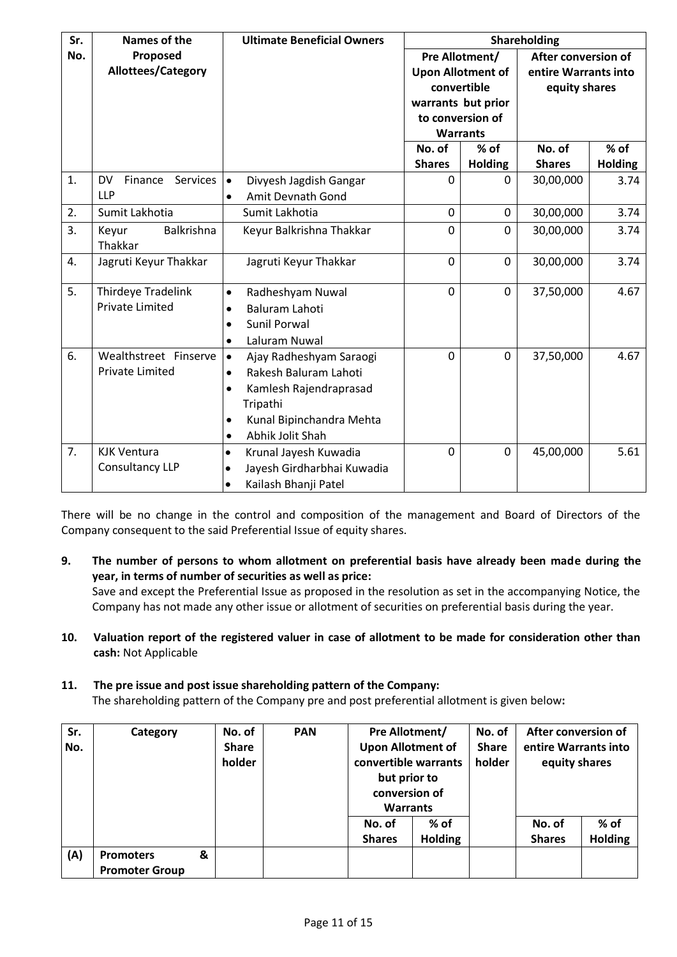| Sr. | <b>Names of the</b>              | <b>Ultimate Beneficial Owners</b>       | Shareholding             |                    |                      |                |
|-----|----------------------------------|-----------------------------------------|--------------------------|--------------------|----------------------|----------------|
| No. | Proposed                         |                                         | Pre Allotment/           |                    | After conversion of  |                |
|     | Allottees/Category               |                                         | <b>Upon Allotment of</b> |                    | entire Warrants into |                |
|     |                                  |                                         |                          | convertible        | equity shares        |                |
|     |                                  |                                         |                          | warrants but prior |                      |                |
|     |                                  |                                         |                          | to conversion of   |                      |                |
|     |                                  |                                         |                          | <b>Warrants</b>    |                      |                |
|     |                                  |                                         | No. of                   | $%$ of             | No. of               | $%$ of         |
|     |                                  |                                         | <b>Shares</b>            | <b>Holding</b>     | <b>Shares</b>        | <b>Holding</b> |
| 1.  | Finance<br>Services<br><b>DV</b> | Divyesh Jagdish Gangar<br>$\bullet$     | $\Omega$                 | 0                  | 30,00,000            | 3.74           |
|     | <b>LLP</b>                       | Amit Devnath Gond<br>$\bullet$          |                          |                    |                      |                |
| 2.  | Sumit Lakhotia                   | Sumit Lakhotia                          | $\mathbf 0$              | 0                  | 30,00,000            | 3.74           |
| 3.  | Balkrishna<br>Keyur              | Keyur Balkrishna Thakkar                | $\mathbf 0$              | 0                  | 30,00,000            | 3.74           |
|     | Thakkar                          |                                         |                          |                    |                      |                |
| 4.  | Jagruti Keyur Thakkar            | Jagruti Keyur Thakkar                   | $\mathbf 0$              | 0                  | 30,00,000            | 3.74           |
| 5.  | Thirdeye Tradelink               |                                         | $\mathbf 0$              | 0                  | 37,50,000            |                |
|     | <b>Private Limited</b>           | Radheshyam Nuwal<br>$\bullet$           |                          |                    |                      | 4.67           |
|     |                                  | <b>Baluram Lahoti</b><br>$\bullet$      |                          |                    |                      |                |
|     |                                  | Sunil Porwal<br>$\bullet$               |                          |                    |                      |                |
|     |                                  | Laluram Nuwal<br>$\bullet$              |                          |                    |                      |                |
| 6.  | Wealthstreet Finserve            | Ajay Radheshyam Saraogi<br>$\bullet$    | $\Omega$                 | 0                  | 37,50,000            | 4.67           |
|     | <b>Private Limited</b>           | Rakesh Baluram Lahoti<br>$\bullet$      |                          |                    |                      |                |
|     |                                  | Kamlesh Rajendraprasad<br>$\bullet$     |                          |                    |                      |                |
|     |                                  | Tripathi                                |                          |                    |                      |                |
|     |                                  | Kunal Bipinchandra Mehta<br>$\bullet$   |                          |                    |                      |                |
|     |                                  | Abhik Jolit Shah<br>$\bullet$           |                          |                    |                      |                |
| 7.  | <b>KJK Ventura</b>               | Krunal Jayesh Kuwadia<br>$\bullet$      | $\mathbf 0$              | 0                  | 45,00,000            | 5.61           |
|     | Consultancy LLP                  | Jayesh Girdharbhai Kuwadia<br>$\bullet$ |                          |                    |                      |                |
|     |                                  | Kailash Bhanji Patel<br>$\bullet$       |                          |                    |                      |                |

There will be no change in the control and composition of the management and Board of Directors of the Company consequent to the said Preferential Issue of equity shares.

- **9. The number of persons to whom allotment on preferential basis have already been made during the year, in terms of number of securities as well as price:** Save and except the Preferential Issue as proposed in the resolution as set in the accompanying Notice, the Company has not made any other issue or allotment of securities on preferential basis during the year.
- **10. Valuation report of the registered valuer in case of allotment to be made for consideration other than cash:** Not Applicable

# **11. The pre issue and post issue shareholding pattern of the Company:**

The shareholding pattern of the Company pre and post preferential allotment is given below**:** 

| Sr. | Category              |   | No. of       | <b>PAN</b> | Pre Allotment/           |                | No. of       | After conversion of  |                |
|-----|-----------------------|---|--------------|------------|--------------------------|----------------|--------------|----------------------|----------------|
| No. |                       |   | <b>Share</b> |            | <b>Upon Allotment of</b> |                | <b>Share</b> | entire Warrants into |                |
|     |                       |   | holder       |            | convertible warrants     |                | holder       | equity shares        |                |
|     |                       |   |              |            | but prior to             |                |              |                      |                |
|     |                       |   |              |            | conversion of            |                |              |                      |                |
|     |                       |   |              |            | <b>Warrants</b>          |                |              |                      |                |
|     |                       |   |              |            | No. of                   | % of           |              | No. of               | $%$ of         |
|     |                       |   |              |            | <b>Shares</b>            | <b>Holding</b> |              | <b>Shares</b>        | <b>Holding</b> |
| (A) | <b>Promoters</b>      | & |              |            |                          |                |              |                      |                |
|     | <b>Promoter Group</b> |   |              |            |                          |                |              |                      |                |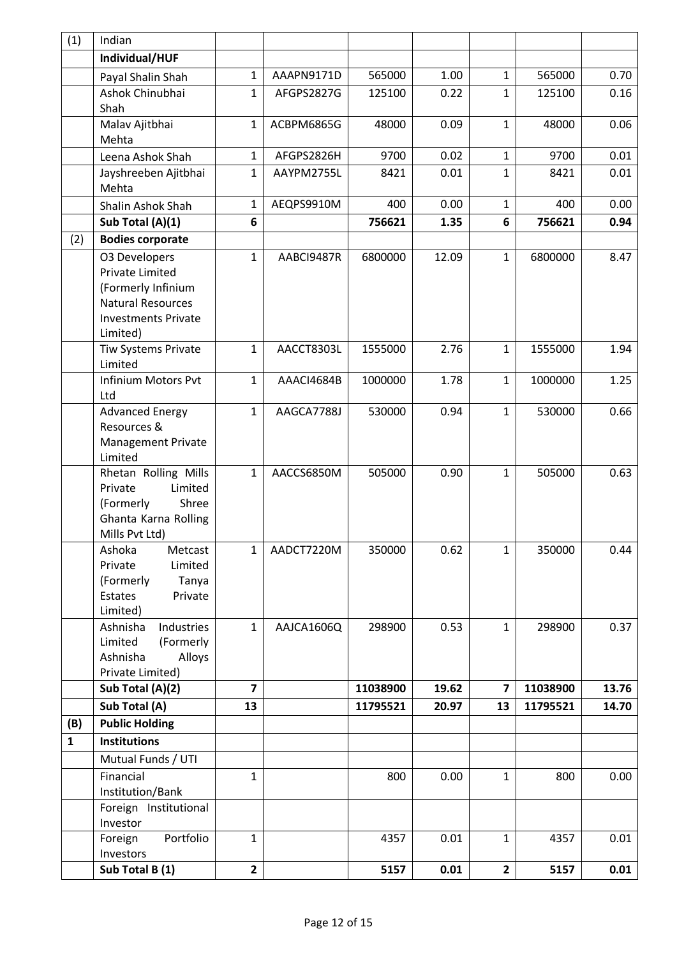| (1)          | Indian                                         |                |            |          |       |                |          |       |
|--------------|------------------------------------------------|----------------|------------|----------|-------|----------------|----------|-------|
|              | Individual/HUF                                 |                |            |          |       |                |          |       |
|              | Payal Shalin Shah                              | $\mathbf{1}$   | AAAPN9171D | 565000   | 1.00  | $\mathbf{1}$   | 565000   | 0.70  |
|              | Ashok Chinubhai                                | $\mathbf{1}$   | AFGPS2827G | 125100   | 0.22  | $\mathbf{1}$   | 125100   | 0.16  |
|              | Shah                                           |                |            |          |       |                |          |       |
|              | Malav Ajitbhai<br>Mehta                        | $\mathbf{1}$   | ACBPM6865G | 48000    | 0.09  | $\mathbf{1}$   | 48000    | 0.06  |
|              | Leena Ashok Shah                               | $\mathbf{1}$   | AFGPS2826H | 9700     | 0.02  | $\mathbf{1}$   | 9700     | 0.01  |
|              | Jayshreeben Ajitbhai                           | $\mathbf{1}$   | AAYPM2755L | 8421     | 0.01  | $\mathbf{1}$   | 8421     | 0.01  |
|              | Mehta                                          |                |            |          |       |                |          |       |
|              | Shalin Ashok Shah                              | 1              | AEQPS9910M | 400      | 0.00  | $\mathbf{1}$   | 400      | 0.00  |
|              | Sub Total (A)(1)                               | 6              |            | 756621   | 1.35  | 6              | 756621   | 0.94  |
| (2)          | <b>Bodies corporate</b>                        |                |            |          |       |                |          |       |
|              | <b>03 Developers</b>                           | $\mathbf{1}$   | AABCI9487R | 6800000  | 12.09 | $\mathbf{1}$   | 6800000  | 8.47  |
|              | <b>Private Limited</b>                         |                |            |          |       |                |          |       |
|              | (Formerly Infinium                             |                |            |          |       |                |          |       |
|              | <b>Natural Resources</b>                       |                |            |          |       |                |          |       |
|              | <b>Investments Private</b>                     |                |            |          |       |                |          |       |
|              | Limited)<br><b>Tiw Systems Private</b>         | $\mathbf{1}$   | AACCT8303L | 1555000  | 2.76  | $\mathbf{1}$   | 1555000  | 1.94  |
|              | Limited                                        |                |            |          |       |                |          |       |
|              | Infinium Motors Pvt                            | $\mathbf{1}$   | AAACI4684B | 1000000  | 1.78  | $\mathbf{1}$   | 1000000  | 1.25  |
|              | Ltd                                            |                |            |          |       |                |          |       |
|              | <b>Advanced Energy</b>                         | $\mathbf{1}$   | AAGCA7788J | 530000   | 0.94  | $\mathbf{1}$   | 530000   | 0.66  |
|              | Resources &                                    |                |            |          |       |                |          |       |
|              | <b>Management Private</b>                      |                |            |          |       |                |          |       |
|              | Limited                                        |                |            |          |       |                |          |       |
|              | Rhetan Rolling Mills                           | $\mathbf{1}$   | AACCS6850M | 505000   | 0.90  | $\mathbf{1}$   | 505000   | 0.63  |
|              | Limited<br>Private<br>(Formerly<br>Shree       |                |            |          |       |                |          |       |
|              | Ghanta Karna Rolling                           |                |            |          |       |                |          |       |
|              | Mills Pvt Ltd)                                 |                |            |          |       |                |          |       |
|              | Ashoka<br>Metcast                              | 1              | AADCT7220M | 350000   | 0.62  | $\mathbf{1}$   | 350000   | 0.44  |
|              | Private<br>Limited                             |                |            |          |       |                |          |       |
|              | (Formerly<br>Tanya                             |                |            |          |       |                |          |       |
|              | Private<br>Estates                             |                |            |          |       |                |          |       |
|              | Limited)                                       |                |            |          |       |                |          |       |
|              | Industries<br>Ashnisha<br>Limited<br>(Formerly | $\mathbf{1}$   | AAJCA1606Q | 298900   | 0.53  | $\mathbf{1}$   | 298900   | 0.37  |
|              | Ashnisha<br>Alloys                             |                |            |          |       |                |          |       |
|              | Private Limited)                               |                |            |          |       |                |          |       |
|              | Sub Total (A)(2)                               | $\overline{7}$ |            | 11038900 | 19.62 | 7              | 11038900 | 13.76 |
|              | Sub Total (A)                                  | 13             |            | 11795521 | 20.97 | 13             | 11795521 | 14.70 |
| (B)          | <b>Public Holding</b>                          |                |            |          |       |                |          |       |
| $\mathbf{1}$ | <b>Institutions</b>                            |                |            |          |       |                |          |       |
|              | Mutual Funds / UTI                             |                |            |          |       |                |          |       |
|              | Financial                                      | 1              |            | 800      | 0.00  | $\mathbf{1}$   | 800      | 0.00  |
|              | Institution/Bank                               |                |            |          |       |                |          |       |
|              | Foreign Institutional                          |                |            |          |       |                |          |       |
|              | Investor                                       |                |            |          |       |                |          |       |
|              | Portfolio<br>Foreign                           | $\mathbf{1}$   |            | 4357     | 0.01  | $\mathbf{1}$   | 4357     | 0.01  |
|              | Investors                                      |                |            |          |       |                |          |       |
|              | Sub Total B (1)                                | $\overline{2}$ |            | 5157     | 0.01  | $\overline{2}$ | 5157     | 0.01  |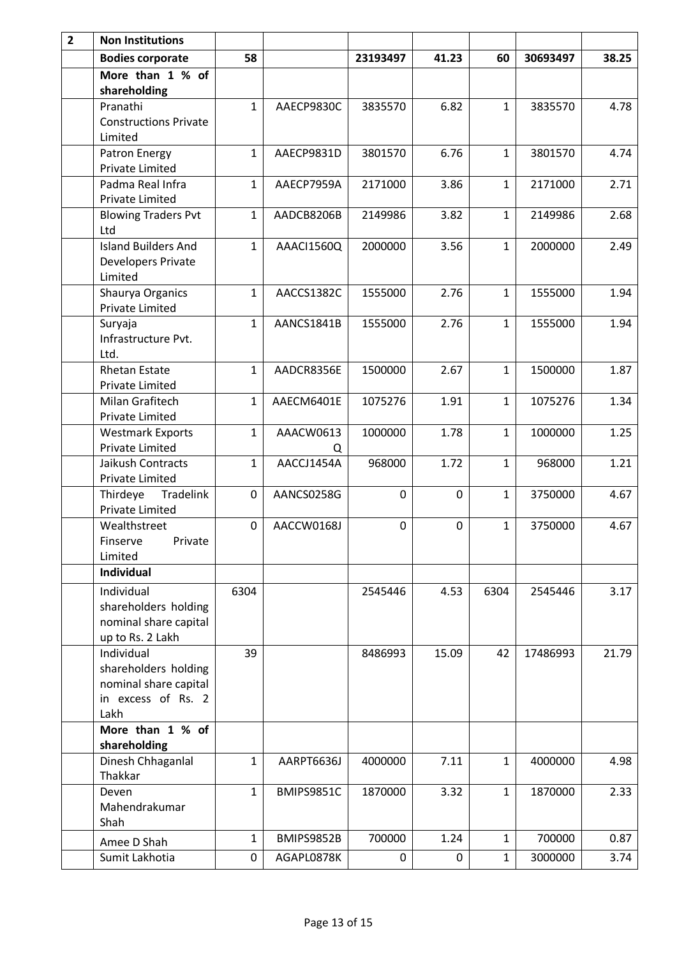| $\overline{2}$ | <b>Non Institutions</b>                                                                   |              |                |             |             |              |          |       |
|----------------|-------------------------------------------------------------------------------------------|--------------|----------------|-------------|-------------|--------------|----------|-------|
|                | <b>Bodies corporate</b>                                                                   | 58           |                | 23193497    | 41.23       | 60           | 30693497 | 38.25 |
|                | More than 1 % of<br>shareholding                                                          |              |                |             |             |              |          |       |
|                | Pranathi<br><b>Constructions Private</b><br>Limited                                       | $\mathbf{1}$ | AAECP9830C     | 3835570     | 6.82        | $\mathbf{1}$ | 3835570  | 4.78  |
|                | Patron Energy<br><b>Private Limited</b>                                                   | $\mathbf{1}$ | AAECP9831D     | 3801570     | 6.76        | $\mathbf{1}$ | 3801570  | 4.74  |
|                | Padma Real Infra<br>Private Limited                                                       | $\mathbf{1}$ | AAECP7959A     | 2171000     | 3.86        | $\mathbf{1}$ | 2171000  | 2.71  |
|                | <b>Blowing Traders Pvt</b><br>Ltd                                                         | $\mathbf{1}$ | AADCB8206B     | 2149986     | 3.82        | $\mathbf{1}$ | 2149986  | 2.68  |
|                | <b>Island Builders And</b><br>Developers Private<br>Limited                               | $\mathbf{1}$ | AAACI1560Q     | 2000000     | 3.56        | $\mathbf{1}$ | 2000000  | 2.49  |
|                | Shaurya Organics<br>Private Limited                                                       | $\mathbf{1}$ | AACCS1382C     | 1555000     | 2.76        | 1            | 1555000  | 1.94  |
|                | Suryaja<br>Infrastructure Pvt.<br>Ltd.                                                    | 1            | AANCS1841B     | 1555000     | 2.76        | $\mathbf{1}$ | 1555000  | 1.94  |
|                | <b>Rhetan Estate</b><br>Private Limited                                                   | $\mathbf{1}$ | AADCR8356E     | 1500000     | 2.67        | $\mathbf{1}$ | 1500000  | 1.87  |
|                | Milan Grafitech<br><b>Private Limited</b>                                                 | $\mathbf{1}$ | AAECM6401E     | 1075276     | 1.91        | $\mathbf{1}$ | 1075276  | 1.34  |
|                | <b>Westmark Exports</b><br>Private Limited                                                | $\mathbf{1}$ | AAACW0613<br>Q | 1000000     | 1.78        | $\mathbf{1}$ | 1000000  | 1.25  |
|                | Jaikush Contracts<br><b>Private Limited</b>                                               | 1            | AACCJ1454A     | 968000      | 1.72        | 1            | 968000   | 1.21  |
|                | Tradelink<br>Thirdeye<br><b>Private Limited</b>                                           | 0            | AANCS0258G     | $\mathbf 0$ | 0           | $\mathbf{1}$ | 3750000  | 4.67  |
|                | Wealthstreet<br>Private<br>Finserve<br>Limited                                            | 0            | AACCW0168J     | $\mathbf 0$ | $\mathbf 0$ | 1            | 3750000  | 4.67  |
|                | Individual                                                                                |              |                |             |             |              |          |       |
|                | Individual<br>shareholders holding<br>nominal share capital<br>up to Rs. 2 Lakh           | 6304         |                | 2545446     | 4.53        | 6304         | 2545446  | 3.17  |
|                | Individual<br>shareholders holding<br>nominal share capital<br>in excess of Rs. 2<br>Lakh | 39           |                | 8486993     | 15.09       | 42           | 17486993 | 21.79 |
|                | More than 1 % of<br>shareholding                                                          |              |                |             |             |              |          |       |
|                | Dinesh Chhaganlal<br>Thakkar                                                              | $\mathbf{1}$ | AARPT6636J     | 4000000     | 7.11        | $\mathbf{1}$ | 4000000  | 4.98  |
|                | Deven<br>Mahendrakumar<br>Shah                                                            | $\mathbf{1}$ | BMIPS9851C     | 1870000     | 3.32        | $\mathbf{1}$ | 1870000  | 2.33  |
|                | Amee D Shah                                                                               | 1            | BMIPS9852B     | 700000      | 1.24        | 1            | 700000   | 0.87  |
|                | Sumit Lakhotia                                                                            | 0            | AGAPL0878K     | 0           | 0           | $\mathbf{1}$ | 3000000  | 3.74  |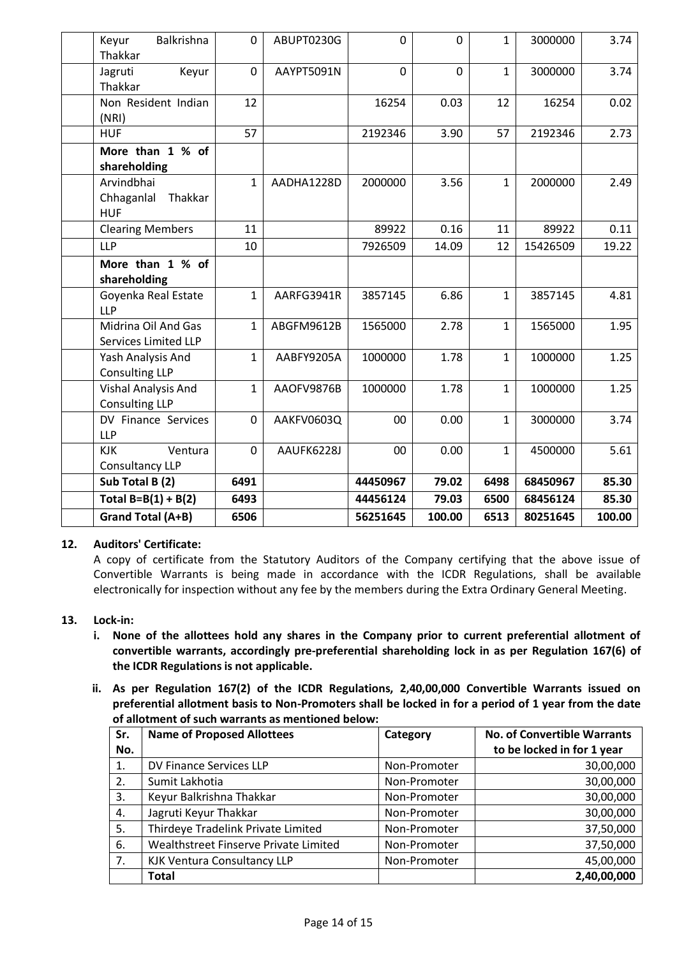| Balkrishna<br>Keyur<br>Thakkar                     | 0            | ABUPT0230G | $\overline{0}$ | $\overline{0}$ | $\mathbf{1}$ | 3000000  | 3.74   |
|----------------------------------------------------|--------------|------------|----------------|----------------|--------------|----------|--------|
| Keyur<br>Jagruti<br>Thakkar                        | 0            | AAYPT5091N | $\overline{0}$ | $\overline{0}$ | 1            | 3000000  | 3.74   |
| Non Resident Indian<br>(NRI)                       | 12           |            | 16254          | 0.03           | 12           | 16254    | 0.02   |
| <b>HUF</b>                                         | 57           |            | 2192346        | 3.90           | 57           | 2192346  | 2.73   |
| More than 1 % of<br>shareholding                   |              |            |                |                |              |          |        |
| Arvindbhai<br>Chhaganlal<br>Thakkar<br><b>HUF</b>  | $\mathbf{1}$ | AADHA1228D | 2000000        | 3.56           | $\mathbf{1}$ | 2000000  | 2.49   |
| <b>Clearing Members</b>                            | 11           |            | 89922          | 0.16           | 11           | 89922    | 0.11   |
| <b>LLP</b>                                         | 10           |            | 7926509        | 14.09          | 12           | 15426509 | 19.22  |
| More than 1 % of<br>shareholding                   |              |            |                |                |              |          |        |
| Goyenka Real Estate<br><b>LLP</b>                  | $\mathbf{1}$ | AARFG3941R | 3857145        | 6.86           | $\mathbf{1}$ | 3857145  | 4.81   |
| Midrina Oil And Gas<br><b>Services Limited LLP</b> | $\mathbf{1}$ | ABGFM9612B | 1565000        | 2.78           | $\mathbf{1}$ | 1565000  | 1.95   |
| Yash Analysis And<br><b>Consulting LLP</b>         | $\mathbf{1}$ | AABFY9205A | 1000000        | 1.78           | $\mathbf{1}$ | 1000000  | 1.25   |
| Vishal Analysis And<br><b>Consulting LLP</b>       | $\mathbf{1}$ | AAOFV9876B | 1000000        | 1.78           | $\mathbf{1}$ | 1000000  | 1.25   |
| DV Finance Services<br><b>LLP</b>                  | 0            | AAKFV0603Q | 00             | 0.00           | $\mathbf{1}$ | 3000000  | 3.74   |
| Ventura<br><b>KJK</b><br>Consultancy LLP           | 0            | AAUFK6228J | 00             | 0.00           | 1            | 4500000  | 5.61   |
| Sub Total B (2)                                    | 6491         |            | 44450967       | 79.02          | 6498         | 68450967 | 85.30  |
| Total $B=B(1) + B(2)$                              | 6493         |            | 44456124       | 79.03          | 6500         | 68456124 | 85.30  |
| Grand Total (A+B)                                  | 6506         |            | 56251645       | 100.00         | 6513         | 80251645 | 100.00 |

# **12. Auditors' Certificate:**

A copy of certificate from the Statutory Auditors of the Company certifying that the above issue of Convertible Warrants is being made in accordance with the ICDR Regulations, shall be available electronically for inspection without any fee by the members during the Extra Ordinary General Meeting.

#### **13. Lock-in:**

- **i. None of the allottees hold any shares in the Company prior to current preferential allotment of convertible warrants, accordingly pre-preferential shareholding lock in as per Regulation 167(6) of the ICDR Regulations is not applicable.**
- **ii. As per Regulation 167(2) of the ICDR Regulations, 2,40,00,000 Convertible Warrants issued on preferential allotment basis to Non-Promoters shall be locked in for a period of 1 year from the date of allotment of such warrants as mentioned below:**

| Sr. | <b>Name of Proposed Allottees</b>     | Category     | <b>No. of Convertible Warrants</b> |
|-----|---------------------------------------|--------------|------------------------------------|
| No. |                                       |              | to be locked in for 1 year         |
| 1.  | DV Finance Services LLP               | Non-Promoter | 30,00,000                          |
| 2.  | Sumit Lakhotia                        | Non-Promoter | 30,00,000                          |
| 3.  | Keyur Balkrishna Thakkar              | Non-Promoter | 30,00,000                          |
| 4.  | Jagruti Keyur Thakkar                 | Non-Promoter | 30,00,000                          |
| 5.  | Thirdeye Tradelink Private Limited    | Non-Promoter | 37,50,000                          |
| 6.  | Wealthstreet Finserve Private Limited | Non-Promoter | 37,50,000                          |
| 7.  | <b>KJK Ventura Consultancy LLP</b>    | Non-Promoter | 45,00,000                          |
|     | <b>Total</b>                          |              | 2,40,00,000                        |